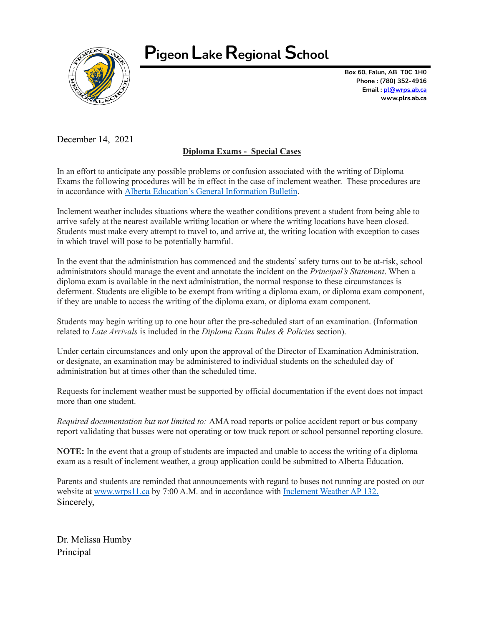

## **Pigeon LakeRegional School**

**Box 60, Falun, AB T0C 1H0 Phone : (780) 352-4916 Email : [pl@wrps.ab.ca](mailto:pl@wrps.ab.ca) www.plrs.ab.ca**

December 14, 2021

## **Diploma Exams - Special Cases**

In an effort to anticipate any possible problems or confusion associated with the writing of Diploma Exams the following procedures will be in effect in the case of inclement weather. These procedures are in accordance with Alberta Education's General [Information](https://www.alberta.ca/assets/documents/ed-diploma-exam-general-information-bulletin.pdf) Bulletin.

Inclement weather includes situations where the weather conditions prevent a student from being able to arrive safely at the nearest available writing location or where the writing locations have been closed. Students must make every attempt to travel to, and arrive at, the writing location with exception to cases in which travel will pose to be potentially harmful.

In the event that the administration has commenced and the students'safety turns out to be at-risk, school administrators should manage the event and annotate the incident on the *Principal's Statement*. When a diploma exam is available in the next administration, the normal response to these circumstances is deferment. Students are eligible to be exempt from writing a diploma exam, or diploma exam component, if they are unable to access the writing of the diploma exam, or diploma exam component.

Students may begin writing up to one hour after the pre-scheduled start of an examination. (Information related to *Late Arrivals* is included in the *Diploma Exam Rules & Policies* section).

Under certain circumstances and only upon the approval of the Director of Examination Administration, or designate, an examination may be administered to individual students on the scheduled day of administration but at times other than the scheduled time.

Requests for inclement weather must be supported by official documentation if the event does not impact more than one student.

*Required documentation but not limited to:* AMA road reports or police accident report or bus company report validating that busses were not operating or tow truck report or school personnel reporting closure.

**NOTE:** In the event that a group of students are impacted and unable to access the writing of a diploma exam as a result of inclement weather, a group application could be submitted to Alberta Education.

Parents and students are reminded that announcements with regard to buses not running are posted on our website at [www.wrps11.ca](http://www.wrps11.ca) by 7:00 A.M. and in accordance with [Inclement](https://www.wrps11.ca/documents?search_request=documents&keywords=ap+132) Weather AP 132. Sincerely,

Dr. Melissa Humby Principal